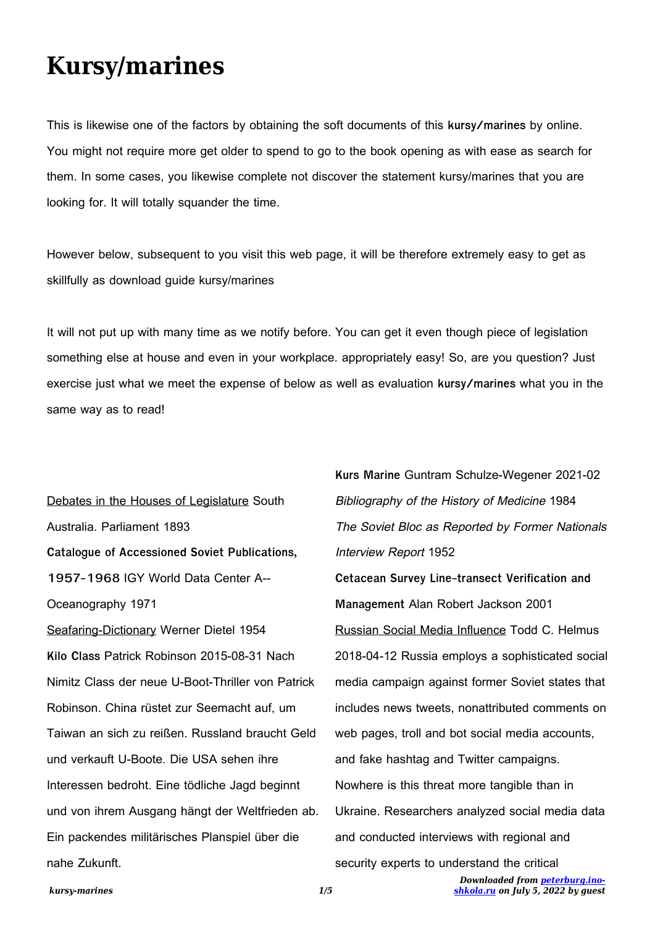## **Kursy/marines**

This is likewise one of the factors by obtaining the soft documents of this **kursy/marines** by online. You might not require more get older to spend to go to the book opening as with ease as search for them. In some cases, you likewise complete not discover the statement kursy/marines that you are looking for. It will totally squander the time.

However below, subsequent to you visit this web page, it will be therefore extremely easy to get as skillfully as download guide kursy/marines

It will not put up with many time as we notify before. You can get it even though piece of legislation something else at house and even in your workplace. appropriately easy! So, are you question? Just exercise just what we meet the expense of below as well as evaluation **kursy/marines** what you in the same way as to read!

Debates in the Houses of Legislature South Australia. Parliament 1893 **Catalogue of Accessioned Soviet Publications, 1957-1968** IGY World Data Center A-- Oceanography 1971 Seafaring-Dictionary Werner Dietel 1954 **Kilo Class** Patrick Robinson 2015-08-31 Nach Nimitz Class der neue U-Boot-Thriller von Patrick Robinson. China rüstet zur Seemacht auf, um Taiwan an sich zu reißen. Russland braucht Geld und verkauft U-Boote. Die USA sehen ihre Interessen bedroht. Eine tödliche Jagd beginnt und von ihrem Ausgang hängt der Weltfrieden ab. Ein packendes militärisches Planspiel über die nahe Zukunft.

*Downloaded from [peterburg.ino-](http://peterburg.ino-shkola.ru)***Kurs Marine** Guntram Schulze-Wegener 2021-02 Bibliography of the History of Medicine 1984 The Soviet Bloc as Reported by Former Nationals Interview Report 1952 **Cetacean Survey Line-transect Verification and Management** Alan Robert Jackson 2001 Russian Social Media Influence Todd C. Helmus 2018-04-12 Russia employs a sophisticated social media campaign against former Soviet states that includes news tweets, nonattributed comments on web pages, troll and bot social media accounts, and fake hashtag and Twitter campaigns. Nowhere is this threat more tangible than in Ukraine. Researchers analyzed social media data and conducted interviews with regional and security experts to understand the critical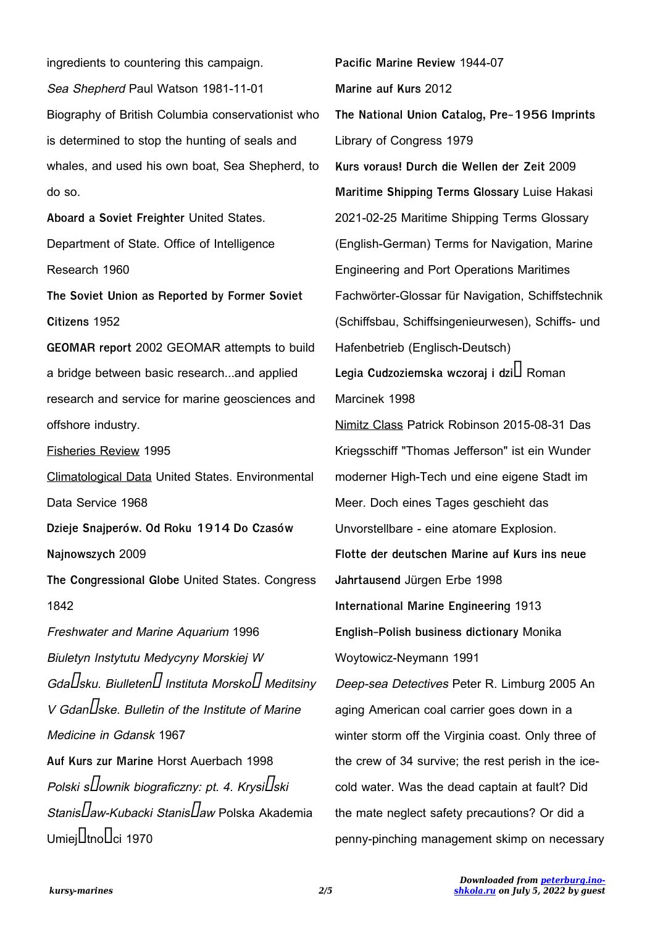ingredients to countering this campaign. Sea Shepherd Paul Watson 1981-11-01 Biography of British Columbia conservationist who is determined to stop the hunting of seals and whales, and used his own boat, Sea Shepherd, to do so. **Aboard a Soviet Freighter** United States. Department of State. Office of Intelligence Research 1960 **The Soviet Union as Reported by Former Soviet Citizens** 1952 **GEOMAR report** 2002 GEOMAR attempts to build a bridge between basic research...and applied research and service for marine geosciences and offshore industry. Fisheries Review 1995 Climatological Data United States. Environmental Data Service 1968 **Dzieje Snajperów. Od Roku 1914 Do Czasów Najnowszych** 2009 **The Congressional Globe** United States. Congress 1842

Freshwater and Marine Aquarium 1996 Biuletyn Instytutu Medycyny Morskiej W Gda $\Pi$ sku. Biulleten $\Pi$  Instituta Morsko $\Pi$  Meditsiny V GdanLske. Bulletin of the Institute of Marine Medicine in Gdansk 1967 **Auf Kurs zur Marine** Horst Auerbach 1998 Polski s $\Box$ ownik biograficzny: pt. 4. Krysi $\Box$ ski Stanislaw-Kubacki Stanislaw Polska Akademia

**Pacific Marine Review** 1944-07 **Marine auf Kurs** 2012 **The National Union Catalog, Pre-1956 Imprints** Library of Congress 1979 **Kurs voraus! Durch die Wellen der Zeit** 2009 **Maritime Shipping Terms Glossary** Luise Hakasi 2021-02-25 Maritime Shipping Terms Glossary (English-German) Terms for Navigation, Marine Engineering and Port Operations Maritimes Fachwörter-Glossar für Navigation, Schiffstechnik (Schiffsbau, Schiffsingenieurwesen), Schiffs- und Hafenbetrieb (Englisch-Deutsch) **Legia Cudzoziemska wczoraj i dziś** Roman Marcinek 1998 Nimitz Class Patrick Robinson 2015-08-31 Das Kriegsschiff "Thomas Jefferson" ist ein Wunder moderner High-Tech und eine eigene Stadt im Meer. Doch eines Tages geschieht das Unvorstellbare - eine atomare Explosion. **Flotte der deutschen Marine auf Kurs ins neue Jahrtausend** Jürgen Erbe 1998 **International Marine Engineering** 1913 **English-Polish business dictionary** Monika Woytowicz-Neymann 1991 Deep-sea Detectives Peter R. Limburg 2005 An aging American coal carrier goes down in a winter storm off the Virginia coast. Only three of the crew of 34 survive; the rest perish in the icecold water. Was the dead captain at fault? Did the mate neglect safety precautions? Or did a penny-pinching management skimp on necessary

 $U$ miej $\prod$ tno $\prod$ ci 1970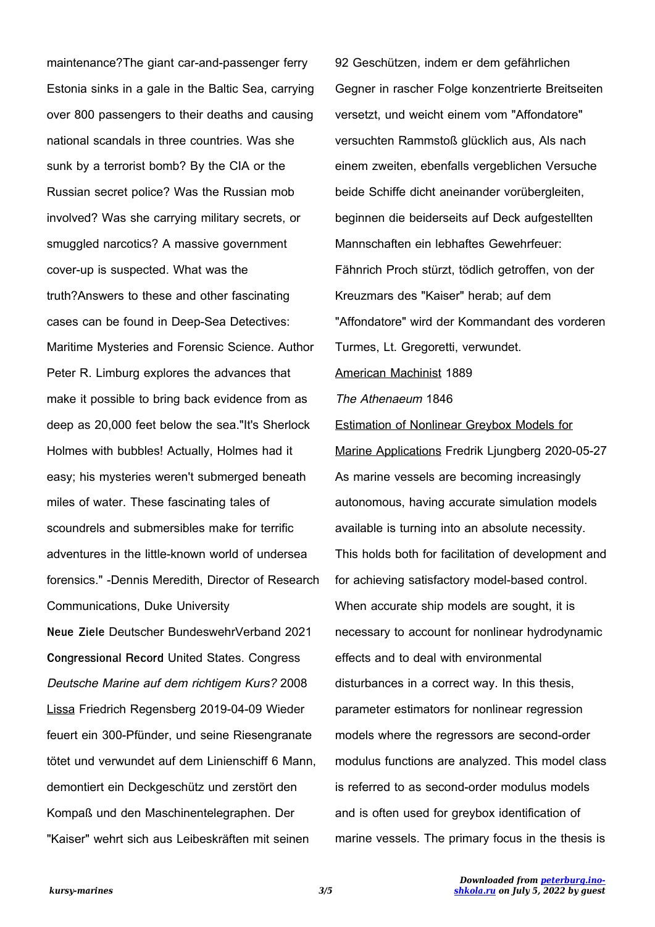maintenance?The giant car-and-passenger ferry Estonia sinks in a gale in the Baltic Sea, carrying over 800 passengers to their deaths and causing national scandals in three countries. Was she sunk by a terrorist bomb? By the CIA or the Russian secret police? Was the Russian mob involved? Was she carrying military secrets, or smuggled narcotics? A massive government cover-up is suspected. What was the truth?Answers to these and other fascinating cases can be found in Deep-Sea Detectives: Maritime Mysteries and Forensic Science. Author Peter R. Limburg explores the advances that make it possible to bring back evidence from as deep as 20,000 feet below the sea."It's Sherlock Holmes with bubbles! Actually, Holmes had it easy; his mysteries weren't submerged beneath miles of water. These fascinating tales of scoundrels and submersibles make for terrific adventures in the little-known world of undersea forensics." -Dennis Meredith, Director of Research Communications, Duke University **Neue Ziele** Deutscher BundeswehrVerband 2021 **Congressional Record** United States. Congress Deutsche Marine auf dem richtigem Kurs? 2008 Lissa Friedrich Regensberg 2019-04-09 Wieder feuert ein 300-Pfünder, und seine Riesengranate tötet und verwundet auf dem Linienschiff 6 Mann, demontiert ein Deckgeschütz und zerstört den Kompaß und den Maschinentelegraphen. Der "Kaiser" wehrt sich aus Leibeskräften mit seinen

92 Geschützen, indem er dem gefährlichen Gegner in rascher Folge konzentrierte Breitseiten versetzt, und weicht einem vom "Affondatore" versuchten Rammstoß glücklich aus, Als nach einem zweiten, ebenfalls vergeblichen Versuche beide Schiffe dicht aneinander vorübergleiten, beginnen die beiderseits auf Deck aufgestellten Mannschaften ein lebhaftes Gewehrfeuer: Fähnrich Proch stürzt, tödlich getroffen, von der Kreuzmars des "Kaiser" herab; auf dem "Affondatore" wird der Kommandant des vorderen Turmes, Lt. Gregoretti, verwundet. American Machinist 1889

The Athenaeum 1846

Estimation of Nonlinear Greybox Models for Marine Applications Fredrik Ljungberg 2020-05-27 As marine vessels are becoming increasingly autonomous, having accurate simulation models available is turning into an absolute necessity. This holds both for facilitation of development and for achieving satisfactory model-based control. When accurate ship models are sought, it is necessary to account for nonlinear hydrodynamic effects and to deal with environmental disturbances in a correct way. In this thesis, parameter estimators for nonlinear regression models where the regressors are second-order modulus functions are analyzed. This model class is referred to as second-order modulus models and is often used for greybox identification of marine vessels. The primary focus in the thesis is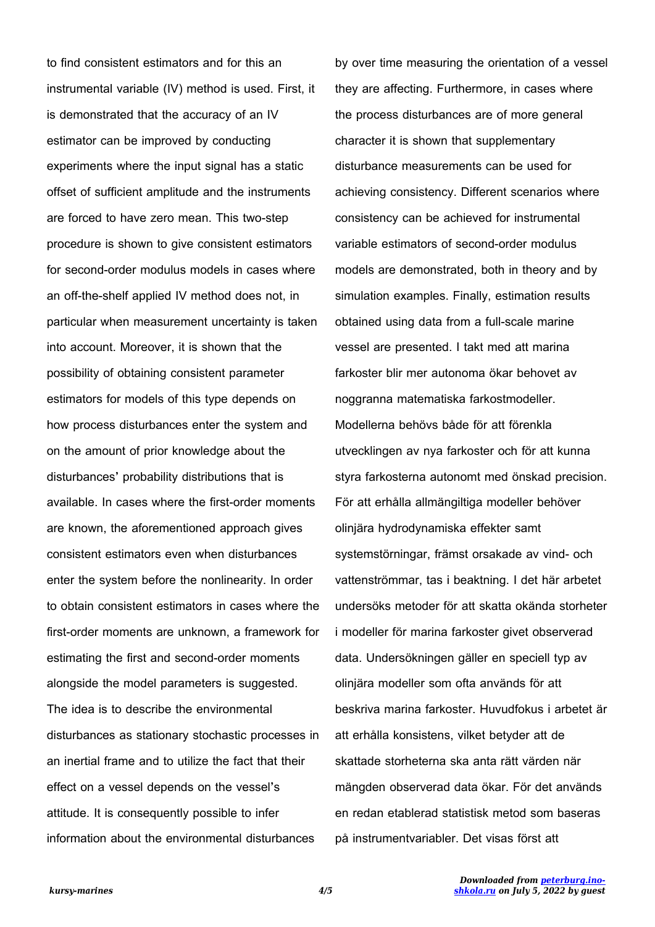to find consistent estimators and for this an instrumental variable (IV) method is used. First, it is demonstrated that the accuracy of an IV estimator can be improved by conducting experiments where the input signal has a static offset of sufficient amplitude and the instruments are forced to have zero mean. This two-step procedure is shown to give consistent estimators for second-order modulus models in cases where an off-the-shelf applied IV method does not, in particular when measurement uncertainty is taken into account. Moreover, it is shown that the possibility of obtaining consistent parameter estimators for models of this type depends on how process disturbances enter the system and on the amount of prior knowledge about the disturbances' probability distributions that is available. In cases where the first-order moments are known, the aforementioned approach gives consistent estimators even when disturbances enter the system before the nonlinearity. In order to obtain consistent estimators in cases where the first-order moments are unknown, a framework for estimating the first and second-order moments alongside the model parameters is suggested. The idea is to describe the environmental disturbances as stationary stochastic processes in an inertial frame and to utilize the fact that their effect on a vessel depends on the vessel's attitude. It is consequently possible to infer information about the environmental disturbances

by over time measuring the orientation of a vessel they are affecting. Furthermore, in cases where the process disturbances are of more general character it is shown that supplementary disturbance measurements can be used for achieving consistency. Different scenarios where consistency can be achieved for instrumental variable estimators of second-order modulus models are demonstrated, both in theory and by simulation examples. Finally, estimation results obtained using data from a full-scale marine vessel are presented. I takt med att marina farkoster blir mer autonoma ökar behovet av noggranna matematiska farkostmodeller. Modellerna behövs både för att förenkla utvecklingen av nya farkoster och för att kunna styra farkosterna autonomt med önskad precision. För att erhålla allmängiltiga modeller behöver olinjära hydrodynamiska effekter samt systemstörningar, främst orsakade av vind- och vattenströmmar, tas i beaktning. I det här arbetet undersöks metoder för att skatta okända storheter i modeller för marina farkoster givet observerad data. Undersökningen gäller en speciell typ av olinjära modeller som ofta används för att beskriva marina farkoster. Huvudfokus i arbetet är att erhålla konsistens, vilket betyder att de skattade storheterna ska anta rätt värden när mängden observerad data ökar. För det används en redan etablerad statistisk metod som baseras på instrumentvariabler. Det visas först att